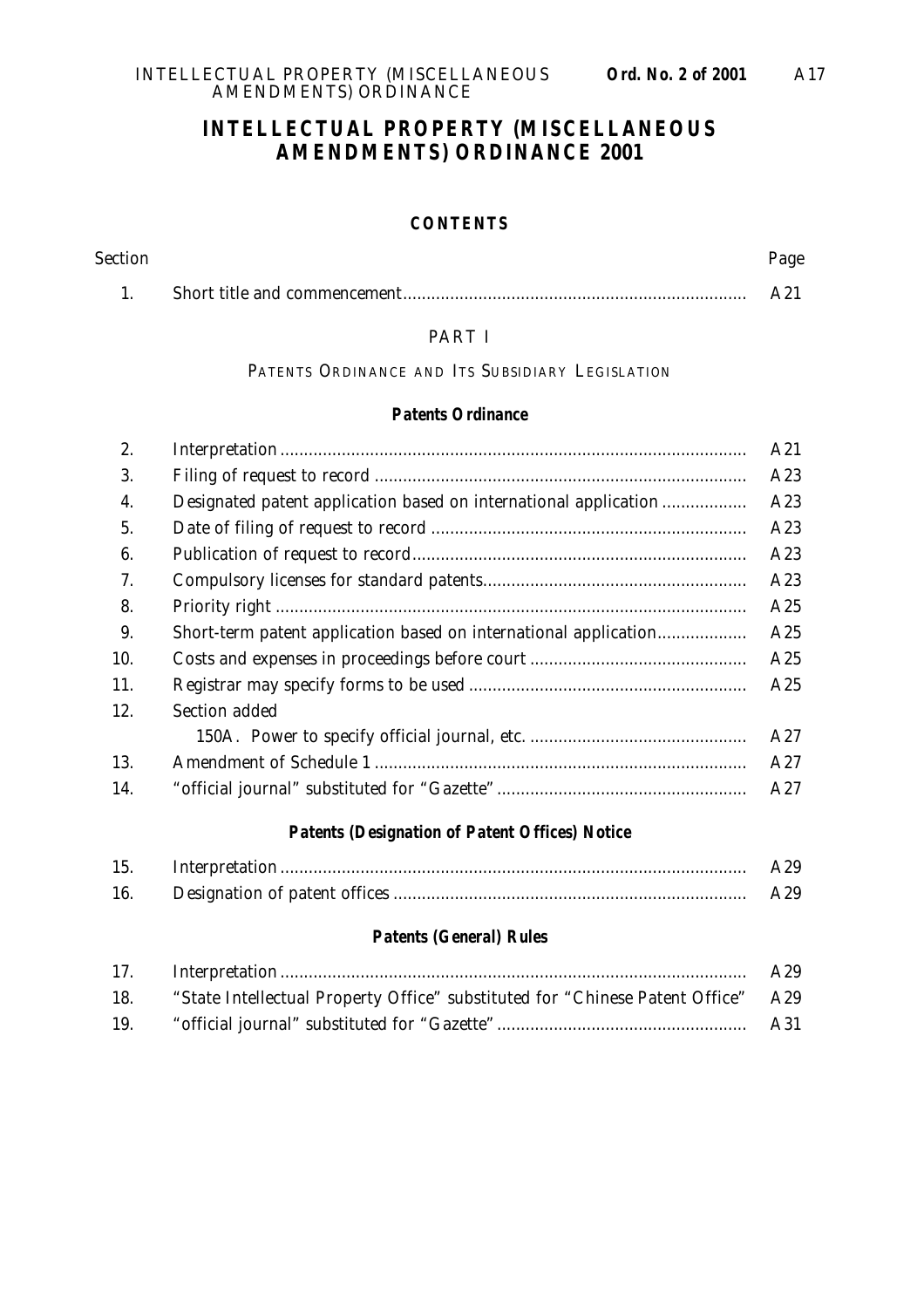#### **INTELLECTUAL PROPERTY (MISCELLANEOUS AMENDMENTS) ORDINANCE 2001**

#### **CONTENTS**

| <b>Section</b> | Page |
|----------------|------|
|                | A21  |

#### PART I

PATENTS ORDINANCE AND ITS SUBSIDIARY LEGISLATION

#### **Patents Ordinance**

| 2.  |                                                                  | A21 |
|-----|------------------------------------------------------------------|-----|
| 3.  |                                                                  | A23 |
| 4.  | Designated patent application based on international application | A23 |
| 5.  |                                                                  | A23 |
| 6.  |                                                                  | A23 |
| 7.  |                                                                  | A23 |
| 8.  |                                                                  | A25 |
| 9.  |                                                                  | A25 |
| 10. |                                                                  | A25 |
| 11. |                                                                  | A25 |
| 12. | Section added                                                    |     |
|     |                                                                  | A27 |
| 13. |                                                                  | A27 |
| 14. |                                                                  | A27 |
|     |                                                                  |     |

#### **Patents (Designation of Patent Offices) Notice**

| 15. | A29 |
|-----|-----|
| 16. | A29 |

#### **Patents (General) Rules**

|     |                                                                                  | A29 |
|-----|----------------------------------------------------------------------------------|-----|
| 18. | "State Intellectual Property Office" substituted for "Chinese Patent Office" A29 |     |
| 19. |                                                                                  | A31 |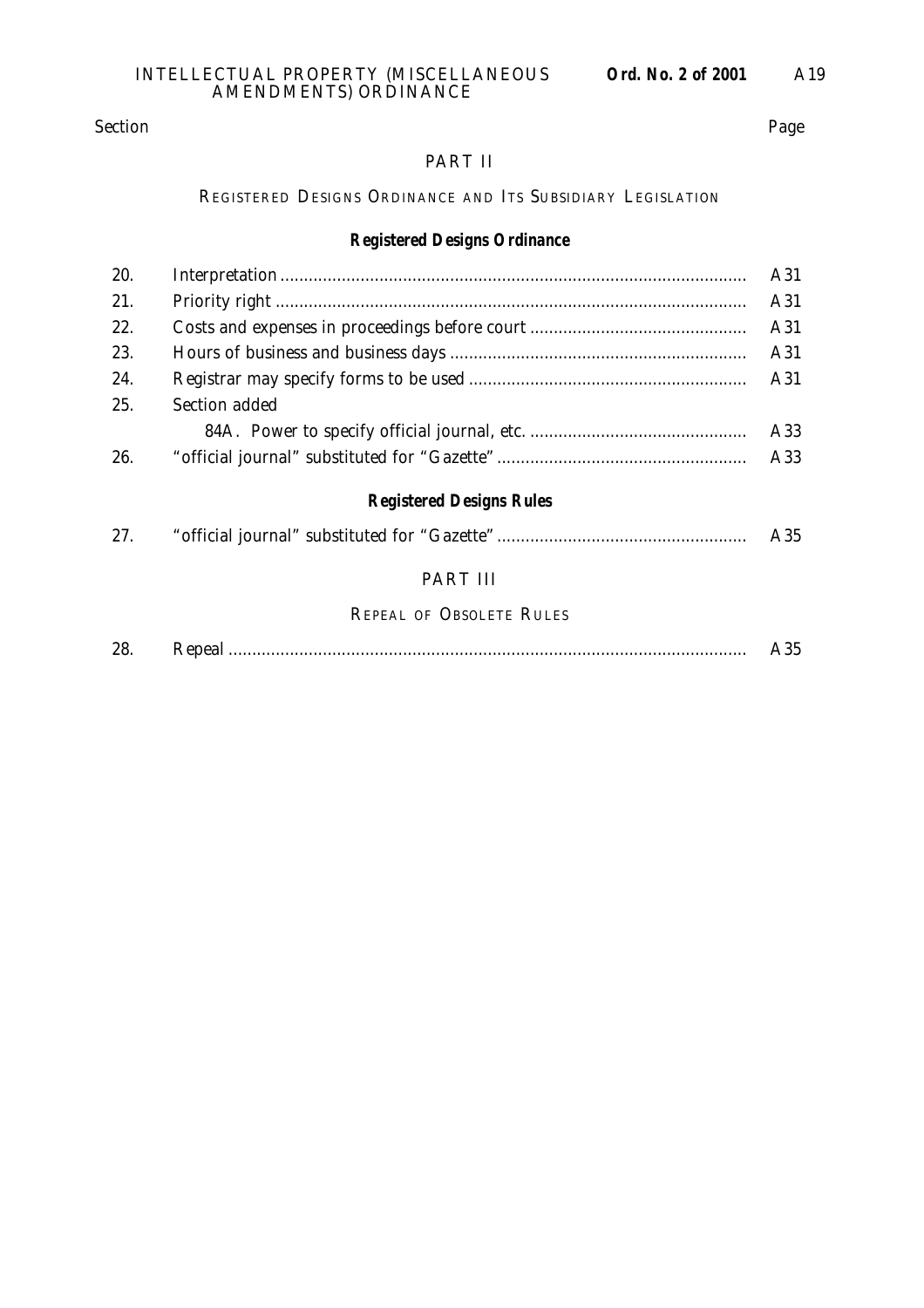#### Section Page

#### PART II

#### REGISTERED DESIGNS ORDINANCE AND ITS SUBSIDIARY LEGISLATION

#### **Registered Designs Ordinance**

| 20. |                                 | A31 |
|-----|---------------------------------|-----|
| 21. |                                 | A31 |
| 22. |                                 | A31 |
| 23. |                                 | A31 |
| 24. |                                 | A31 |
| 25. | Section added                   |     |
|     |                                 | A33 |
| 26. |                                 | A33 |
|     | <b>Registered Designs Rules</b> |     |
| 27. |                                 | A35 |
|     | PART III                        |     |

# REPEAL OF OBSOLETE RULES

| 20<br>60. |  |  |
|-----------|--|--|
|-----------|--|--|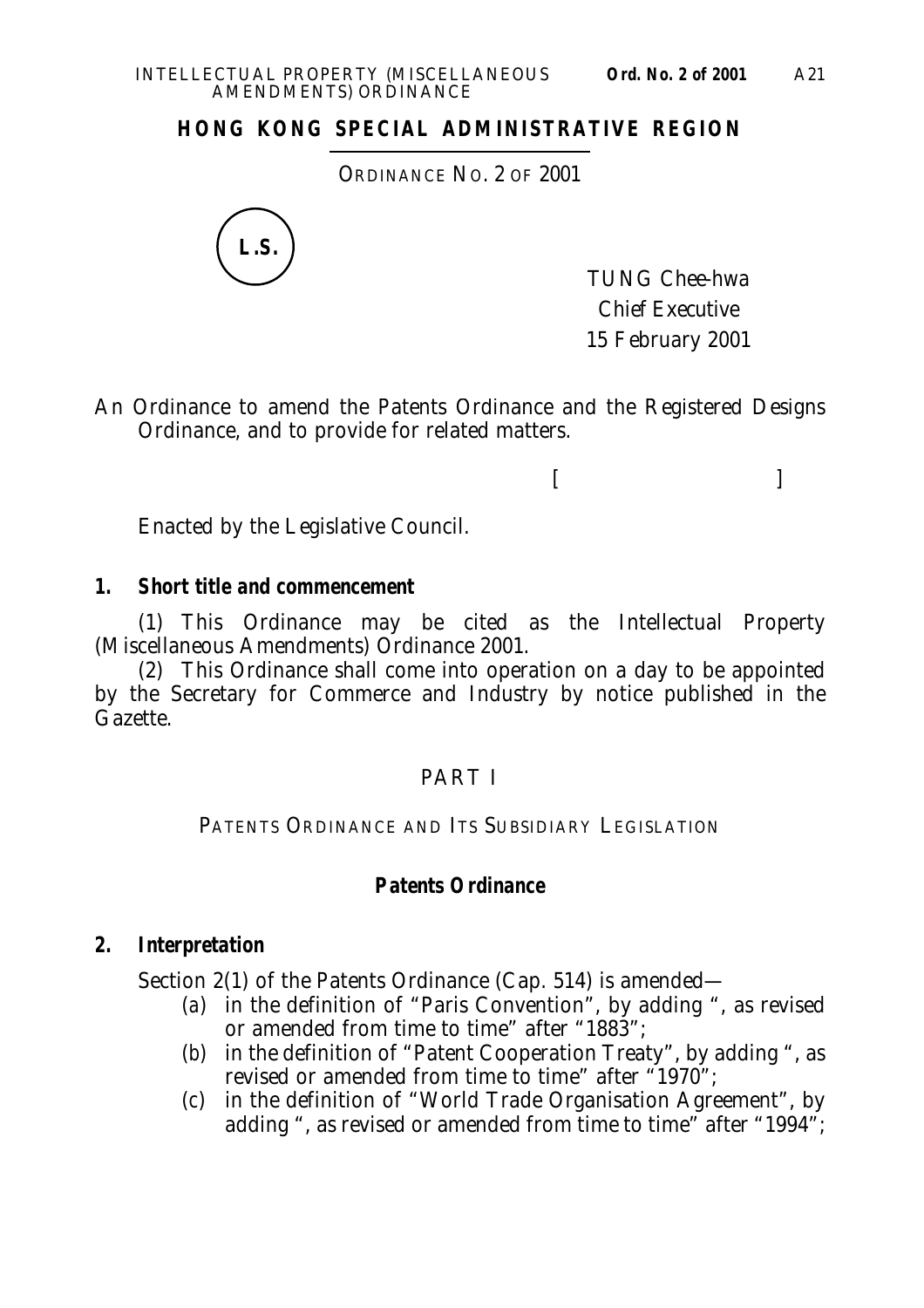### **HONG KONG SPECIAL ADMINISTRATIVE REGION**

ORDINANCE NO. 2 OF 2001



TUNG Chee-hwa Chief Executive 15 February 2001

 $[$   $]$ 

An Ordinance to amend the Patents Ordinance and the Registered Designs Ordinance, and to provide for related matters.

Enacted by the Legislative Council.

#### **1. Short title and commencement**

(1) This Ordinance may be cited as the Intellectual Property (Miscellaneous Amendments) Ordinance 2001.

(2) This Ordinance shall come into operation on a day to be appointed by the Secretary for Commerce and Industry by notice published in the Gazette.

#### PART I

PATENTS ORDINANCE AND ITS SUBSIDIARY LEGISLATION

#### **Patents Ordinance**

#### **2. Interpretation**

Section 2(1) of the Patents Ordinance (Cap. 514) is amended—

- (*a*) in the definition of "Paris Convention", by adding ", as revised or amended from time to time" after "1883";
- (*b*) in the definition of "Patent Cooperation Treaty", by adding ", as revised or amended from time to time" after "1970";
- (*c*) in the definition of "World Trade Organisation Agreement", by adding ", as revised or amended from time to time" after "1994";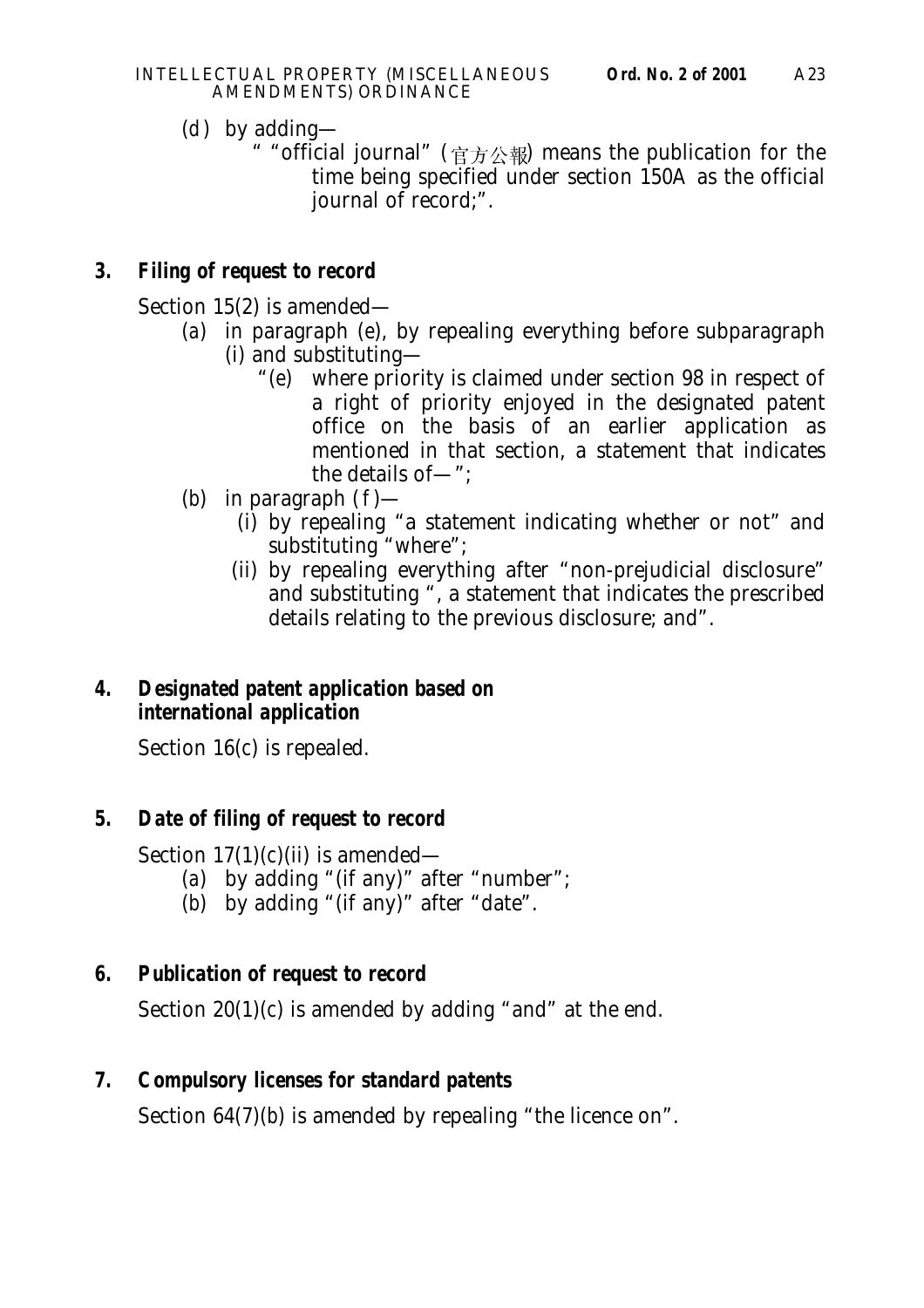- (*d*) by adding—
	- " "official journal" (  $\forall \vec{r} \pm \vec{r}$  means the publication for the time being specified under section 150A as the official journal of record;".

# **3. Filing of request to record**

Section 15(2) is amended—

- (*a*) in paragraph (*e*), by repealing everything before subparagraph (i) and substituting—
	- "(*e*) where priority is claimed under section 98 in respect of a right of priority enjoyed in the designated patent office on the basis of an earlier application as mentioned in that section, a statement that indicates the details of—";
- (*b*) in paragraph (*f*)—
	- (i) by repealing "a statement indicating whether or not" and substituting "where";
	- (ii) by repealing everything after "non-prejudicial disclosure" and substituting ", a statement that indicates the prescribed details relating to the previous disclosure; and".

## **4. Designated patent application based on international application**

Section 16(*c*) is repealed.

# **5. Date of filing of request to record**

Section  $17(1)(c)(ii)$  is amended—

- (*a*) by adding "(if any)" after "number";
- (*b*) by adding "(if any)" after "date".

# **6. Publication of request to record**

Section 20(1)(*c*) is amended by adding "and" at the end.

# **7. Compulsory licenses for standard patents**

Section 64(7)(*b*) is amended by repealing "the licence on".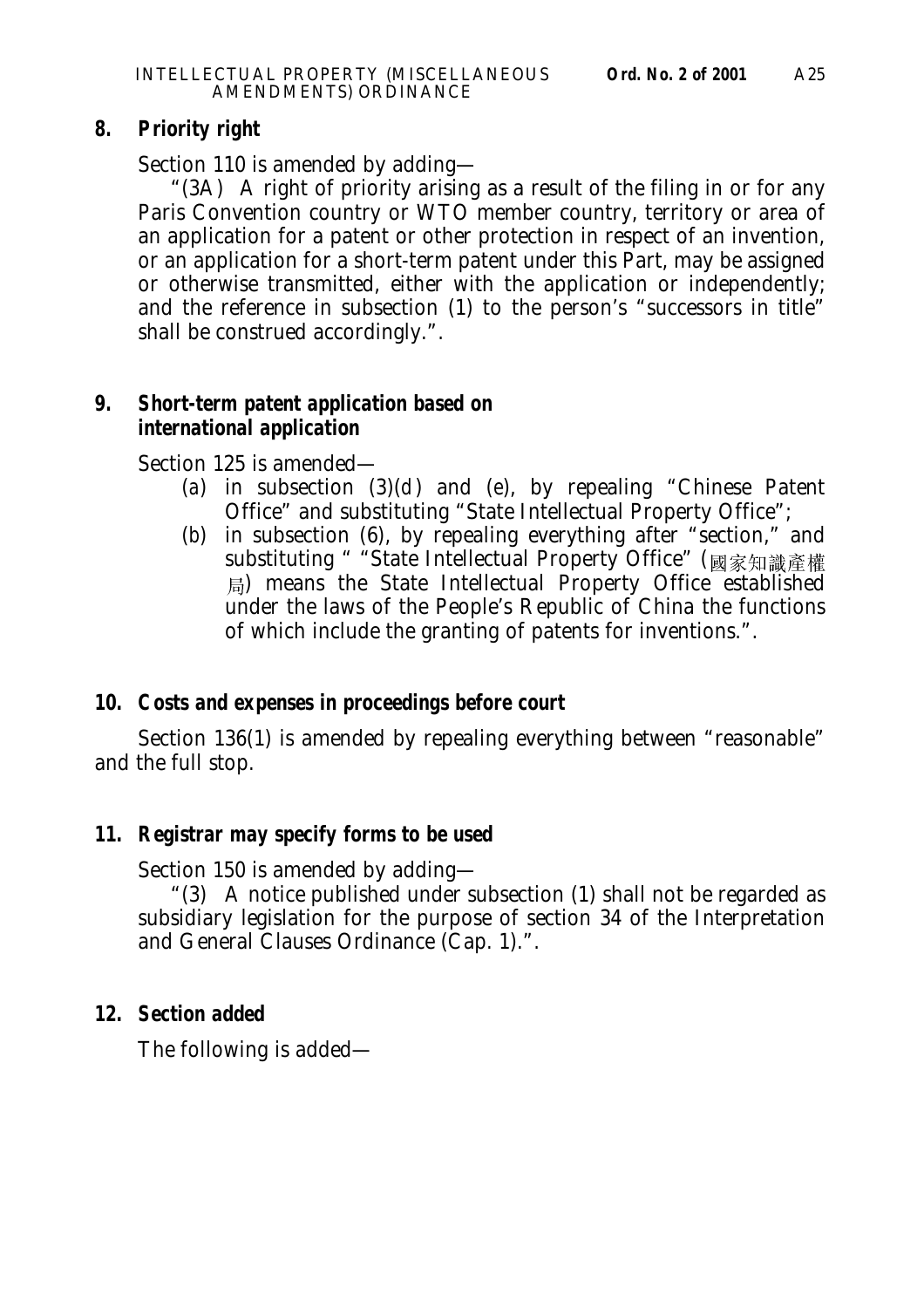## **8. Priority right**

Section 110 is amended by adding—

"(3A) A right of priority arising as a result of the filing in or for any Paris Convention country or WTO member country, territory or area of an application for a patent or other protection in respect of an invention, or an application for a short-term patent under this Part, may be assigned or otherwise transmitted, either with the application or independently; and the reference in subsection (1) to the person's "successors in title" shall be construed accordingly.".

# **9. Short-term patent application based on international application**

Section 125 is amended—

- (*a*) in subsection (3)(*d*) and (*e*), by repealing "Chinese Patent Office" and substituting "State Intellectual Property Office";
- (*b*) in subsection (6), by repealing everything after "section," and substituting " "State Intellectual Property Office" (國家知識產權 ) means the State Intellectual Property Office established under the laws of the People's Republic of China the functions of which include the granting of patents for inventions.".

# **10. Costs and expenses in proceedings before court**

Section 136(1) is amended by repealing everything between "reasonable" and the full stop.

# **11. Registrar may specify forms to be used**

Section 150 is amended by adding—

"(3) A notice published under subsection (1) shall not be regarded as subsidiary legislation for the purpose of section 34 of the Interpretation and General Clauses Ordinance (Cap. 1).".

# **12. Section added**

The following is added—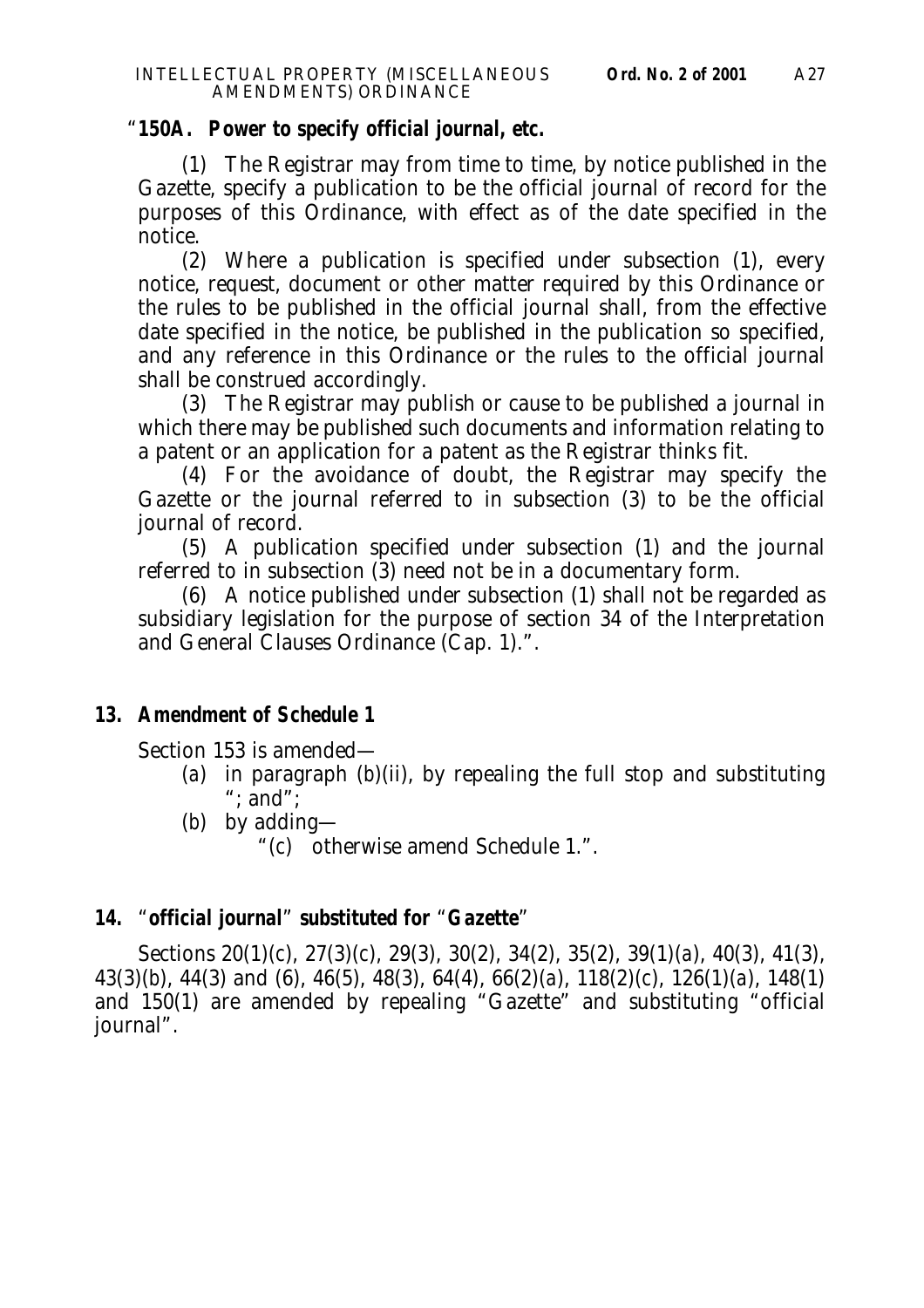#### "**150A. Power to specify official journal, etc.**

(1) The Registrar may from time to time, by notice published in the Gazette, specify a publication to be the official journal of record for the purposes of this Ordinance, with effect as of the date specified in the notice.

(2) Where a publication is specified under subsection (1), every notice, request, document or other matter required by this Ordinance or the rules to be published in the official journal shall, from the effective date specified in the notice, be published in the publication so specified, and any reference in this Ordinance or the rules to the official journal shall be construed accordingly.

(3) The Registrar may publish or cause to be published a journal in which there may be published such documents and information relating to a patent or an application for a patent as the Registrar thinks fit.

(4) For the avoidance of doubt, the Registrar may specify the Gazette or the journal referred to in subsection (3) to be the official journal of record.

(5) A publication specified under subsection (1) and the journal referred to in subsection (3) need not be in a documentary form.

(6) A notice published under subsection (1) shall not be regarded as subsidiary legislation for the purpose of section 34 of the Interpretation and General Clauses Ordinance (Cap. 1).".

## **13. Amendment of Schedule 1**

Section 153 is amended—

- (*a*) in paragraph (*b*)(ii), by repealing the full stop and substituting ":  $\overline{\text{and}}$ ":
- (*b*) by adding—
	- "(*c*) otherwise amend Schedule 1.".

# **14.** "**official journal**" **substituted for** "**Gazette**"

Sections 20(1)(*c*), 27(3)(*c*), 29(3), 30(2), 34(2), 35(2), 39(1)(*a*), 40(3), 41(3), 43(3)(*b*), 44(3) and (6), 46(5), 48(3), 64(4), 66(2)(*a*), 118(2)(*c*), 126(1)(*a*), 148(1) and 150(1) are amended by repealing "Gazette" and substituting "official journal".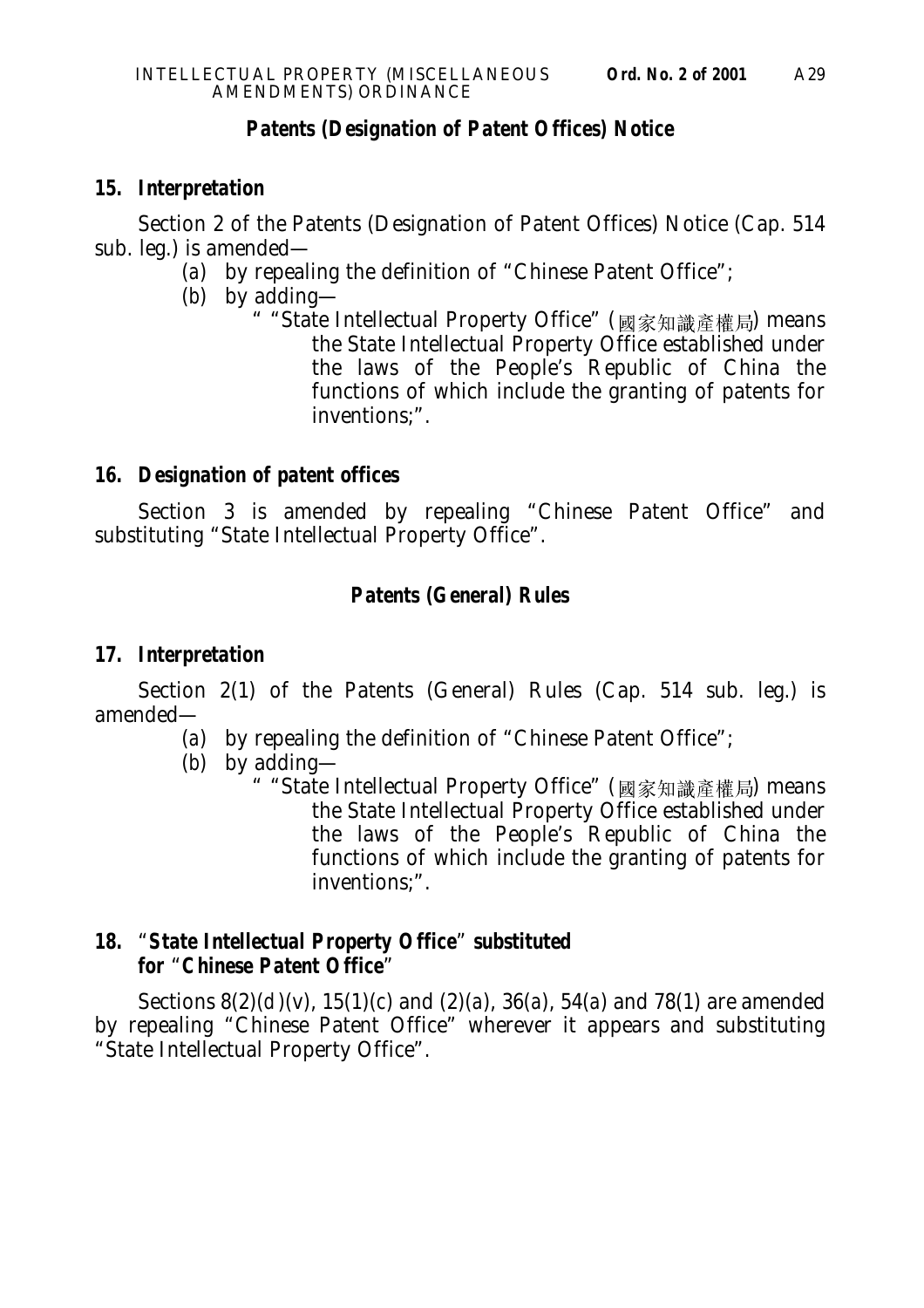## **Patents (Designation of Patent Offices) Notice**

## **15. Interpretation**

Section 2 of the Patents (Designation of Patent Offices) Notice (Cap. 514 sub. leg.) is amended—

- (*a*) by repealing the definition of "Chinese Patent Office";
- (*b*) by adding—
	- " "State Intellectual Property Office" (國家知識產權局) means the State Intellectual Property Office established under the laws of the People's Republic of China the functions of which include the granting of patents for inventions;".

## **16. Designation of patent offices**

Section 3 is amended by repealing "Chinese Patent Office" and substituting "State Intellectual Property Office".

# **Patents (General) Rules**

## **17. Interpretation**

Section 2(1) of the Patents (General) Rules (Cap. 514 sub. leg.) is amended—

(*a*) by repealing the definition of "Chinese Patent Office";

(*b*) by adding—

" "State Intellectual Property Office" (國家知識產權局) means the State Intellectual Property Office established under the laws of the People's Republic of China the functions of which include the granting of patents for inventions;".

## **18.** "**State Intellectual Property Office**" **substituted for** "**Chinese Patent Office**"

Sections 8(2)(*d* )(v), 15(1)(*c*) and (2)(*a*), 36(*a*), 54(*a*) and 78(1) are amended by repealing "Chinese Patent Office" wherever it appears and substituting "State Intellectual Property Office".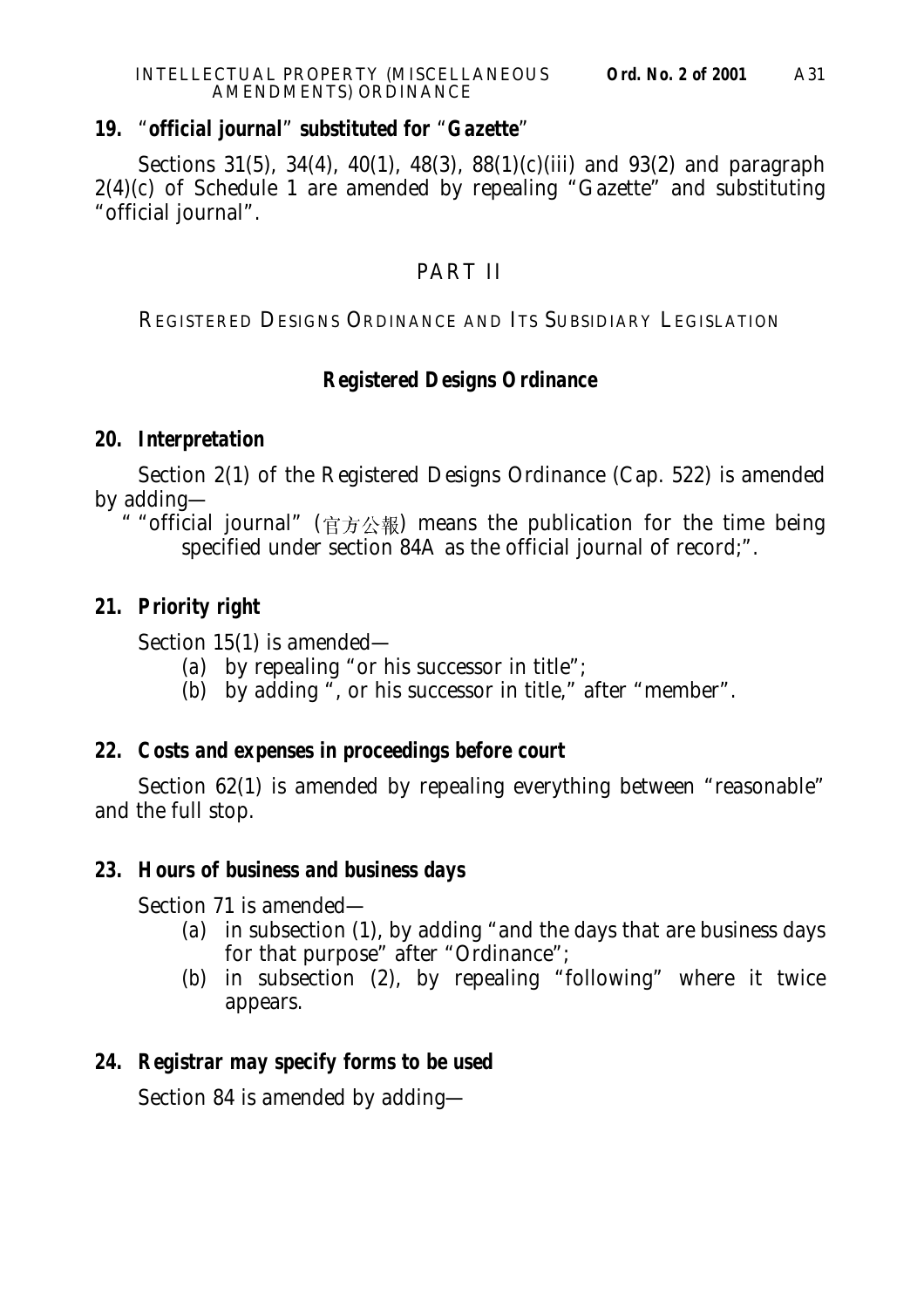#### **19.** "**official journal**" **substituted for** "**Gazette**"

Sections 31(5), 34(4), 40(1), 48(3), 88(1)(*c*)(iii) and 93(2) and paragraph  $2(4)(c)$  of Schedule 1 are amended by repealing "Gazette" and substituting "official journal".

# PART II

REGISTERED DESIGNS ORDINANCE AND ITS SUBSIDIARY LEGISLATION

# **Registered Designs Ordinance**

#### **20. Interpretation**

Section 2(1) of the Registered Designs Ordinance (Cap. 522) is amended by adding—

" "official journal" (官方公報) means the publication for the time being specified under section 84A as the official journal of record;".

## **21. Priority right**

Section 15(1) is amended—

- (*a*) by repealing "or his successor in title";
- (b) by adding ", or his successor in title," after "member".

## **22. Costs and expenses in proceedings before court**

Section 62(1) is amended by repealing everything between "reasonable" and the full stop.

# **23. Hours of business and business days**

Section 71 is amended—

- (*a*) in subsection (1), by adding "and the days that are business days for that purpose" after "Ordinance";
- (*b*) in subsection (2), by repealing "following" where it twice appears.

# **24. Registrar may specify forms to be used**

Section 84 is amended by adding—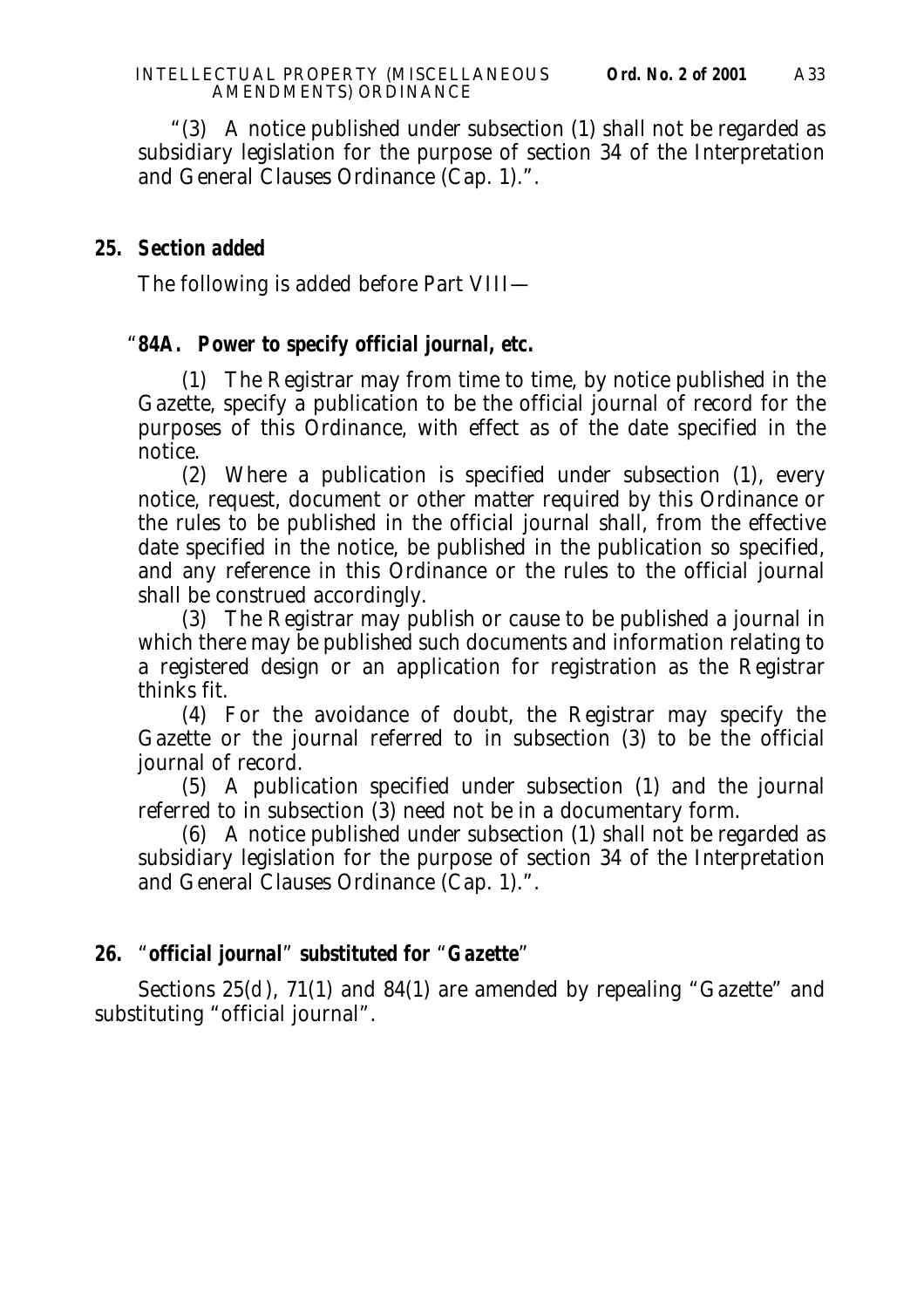"(3) A notice published under subsection (1) shall not be regarded as subsidiary legislation for the purpose of section 34 of the Interpretation and General Clauses Ordinance (Cap. 1).".

### **25. Section added**

The following is added before Part VIII—

#### "**84A. Power to specify official journal, etc.**

(1) The Registrar may from time to time, by notice published in the Gazette, specify a publication to be the official journal of record for the purposes of this Ordinance, with effect as of the date specified in the notice.

(2) Where a publication is specified under subsection (1), every notice, request, document or other matter required by this Ordinance or the rules to be published in the official journal shall, from the effective date specified in the notice, be published in the publication so specified, and any reference in this Ordinance or the rules to the official journal shall be construed accordingly.

(3) The Registrar may publish or cause to be published a journal in which there may be published such documents and information relating to a registered design or an application for registration as the Registrar thinks fit.

(4) For the avoidance of doubt, the Registrar may specify the Gazette or the journal referred to in subsection (3) to be the official journal of record.

(5) A publication specified under subsection (1) and the journal referred to in subsection (3) need not be in a documentary form.

(6) A notice published under subsection (1) shall not be regarded as subsidiary legislation for the purpose of section 34 of the Interpretation and General Clauses Ordinance (Cap. 1).".

## **26.** "**official journal**" **substituted for** "**Gazette**"

Sections 25(*d*), 71(1) and 84(1) are amended by repealing "Gazette" and substituting "official journal".